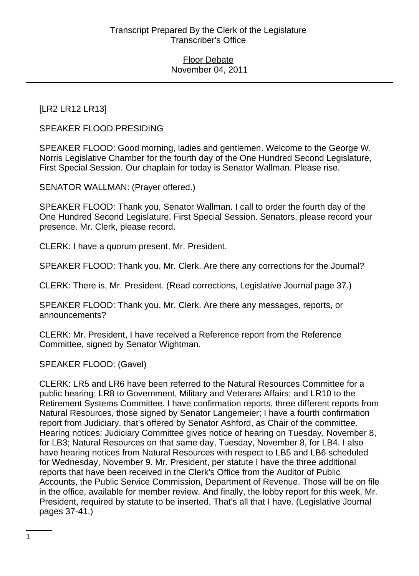[LR2 LR12 LR13]

SPEAKER FLOOD PRESIDING

SPEAKER FLOOD: Good morning, ladies and gentlemen. Welcome to the George W. Norris Legislative Chamber for the fourth day of the One Hundred Second Legislature, First Special Session. Our chaplain for today is Senator Wallman. Please rise.

SENATOR WALLMAN: (Prayer offered.)

SPEAKER FLOOD: Thank you, Senator Wallman. I call to order the fourth day of the One Hundred Second Legislature, First Special Session. Senators, please record your presence. Mr. Clerk, please record.

CLERK: I have a quorum present, Mr. President.

SPEAKER FLOOD: Thank you, Mr. Clerk. Are there any corrections for the Journal?

CLERK: There is, Mr. President. (Read corrections, Legislative Journal page 37.)

SPEAKER FLOOD: Thank you, Mr. Clerk. Are there any messages, reports, or announcements?

CLERK: Mr. President, I have received a Reference report from the Reference Committee, signed by Senator Wightman.

SPEAKER FLOOD: (Gavel)

CLERK: LR5 and LR6 have been referred to the Natural Resources Committee for a public hearing; LR8 to Government, Military and Veterans Affairs; and LR10 to the Retirement Systems Committee. I have confirmation reports, three different reports from Natural Resources, those signed by Senator Langemeier; I have a fourth confirmation report from Judiciary, that's offered by Senator Ashford, as Chair of the committee. Hearing notices: Judiciary Committee gives notice of hearing on Tuesday, November 8, for LB3; Natural Resources on that same day, Tuesday, November 8, for LB4. I also have hearing notices from Natural Resources with respect to LB5 and LB6 scheduled for Wednesday, November 9. Mr. President, per statute I have the three additional reports that have been received in the Clerk's Office from the Auditor of Public Accounts, the Public Service Commission, Department of Revenue. Those will be on file in the office, available for member review. And finally, the lobby report for this week, Mr. President, required by statute to be inserted. That's all that I have. (Legislative Journal pages 37-41.)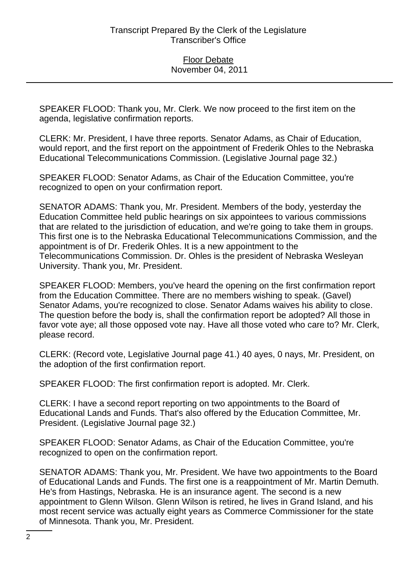SPEAKER FLOOD: Thank you, Mr. Clerk. We now proceed to the first item on the agenda, legislative confirmation reports.

CLERK: Mr. President, I have three reports. Senator Adams, as Chair of Education, would report, and the first report on the appointment of Frederik Ohles to the Nebraska Educational Telecommunications Commission. (Legislative Journal page 32.)

SPEAKER FLOOD: Senator Adams, as Chair of the Education Committee, you're recognized to open on your confirmation report.

SENATOR ADAMS: Thank you, Mr. President. Members of the body, yesterday the Education Committee held public hearings on six appointees to various commissions that are related to the jurisdiction of education, and we're going to take them in groups. This first one is to the Nebraska Educational Telecommunications Commission, and the appointment is of Dr. Frederik Ohles. It is a new appointment to the Telecommunications Commission. Dr. Ohles is the president of Nebraska Wesleyan University. Thank you, Mr. President.

SPEAKER FLOOD: Members, you've heard the opening on the first confirmation report from the Education Committee. There are no members wishing to speak. (Gavel) Senator Adams, you're recognized to close. Senator Adams waives his ability to close. The question before the body is, shall the confirmation report be adopted? All those in favor vote aye; all those opposed vote nay. Have all those voted who care to? Mr. Clerk, please record.

CLERK: (Record vote, Legislative Journal page 41.) 40 ayes, 0 nays, Mr. President, on the adoption of the first confirmation report.

SPEAKER FLOOD: The first confirmation report is adopted. Mr. Clerk.

CLERK: I have a second report reporting on two appointments to the Board of Educational Lands and Funds. That's also offered by the Education Committee, Mr. President. (Legislative Journal page 32.)

SPEAKER FLOOD: Senator Adams, as Chair of the Education Committee, you're recognized to open on the confirmation report.

SENATOR ADAMS: Thank you, Mr. President. We have two appointments to the Board of Educational Lands and Funds. The first one is a reappointment of Mr. Martin Demuth. He's from Hastings, Nebraska. He is an insurance agent. The second is a new appointment to Glenn Wilson. Glenn Wilson is retired, he lives in Grand Island, and his most recent service was actually eight years as Commerce Commissioner for the state of Minnesota. Thank you, Mr. President.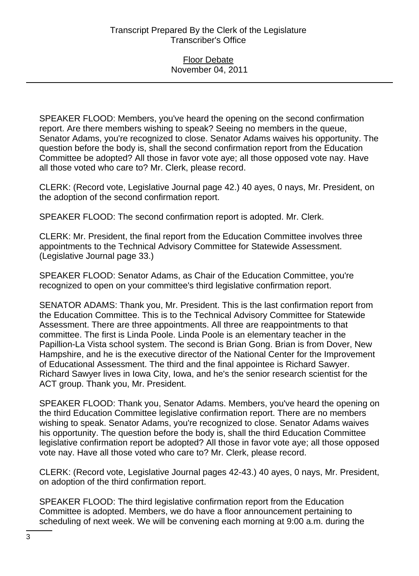SPEAKER FLOOD: Members, you've heard the opening on the second confirmation report. Are there members wishing to speak? Seeing no members in the queue, Senator Adams, you're recognized to close. Senator Adams waives his opportunity. The question before the body is, shall the second confirmation report from the Education Committee be adopted? All those in favor vote aye; all those opposed vote nay. Have all those voted who care to? Mr. Clerk, please record.

CLERK: (Record vote, Legislative Journal page 42.) 40 ayes, 0 nays, Mr. President, on the adoption of the second confirmation report.

SPEAKER FLOOD: The second confirmation report is adopted. Mr. Clerk.

CLERK: Mr. President, the final report from the Education Committee involves three appointments to the Technical Advisory Committee for Statewide Assessment. (Legislative Journal page 33.)

SPEAKER FLOOD: Senator Adams, as Chair of the Education Committee, you're recognized to open on your committee's third legislative confirmation report.

SENATOR ADAMS: Thank you, Mr. President. This is the last confirmation report from the Education Committee. This is to the Technical Advisory Committee for Statewide Assessment. There are three appointments. All three are reappointments to that committee. The first is Linda Poole. Linda Poole is an elementary teacher in the Papillion-La Vista school system. The second is Brian Gong. Brian is from Dover, New Hampshire, and he is the executive director of the National Center for the Improvement of Educational Assessment. The third and the final appointee is Richard Sawyer. Richard Sawyer lives in Iowa City, Iowa, and he's the senior research scientist for the ACT group. Thank you, Mr. President.

SPEAKER FLOOD: Thank you, Senator Adams. Members, you've heard the opening on the third Education Committee legislative confirmation report. There are no members wishing to speak. Senator Adams, you're recognized to close. Senator Adams waives his opportunity. The question before the body is, shall the third Education Committee legislative confirmation report be adopted? All those in favor vote aye; all those opposed vote nay. Have all those voted who care to? Mr. Clerk, please record.

CLERK: (Record vote, Legislative Journal pages 42-43.) 40 ayes, 0 nays, Mr. President, on adoption of the third confirmation report.

SPEAKER FLOOD: The third legislative confirmation report from the Education Committee is adopted. Members, we do have a floor announcement pertaining to scheduling of next week. We will be convening each morning at 9:00 a.m. during the